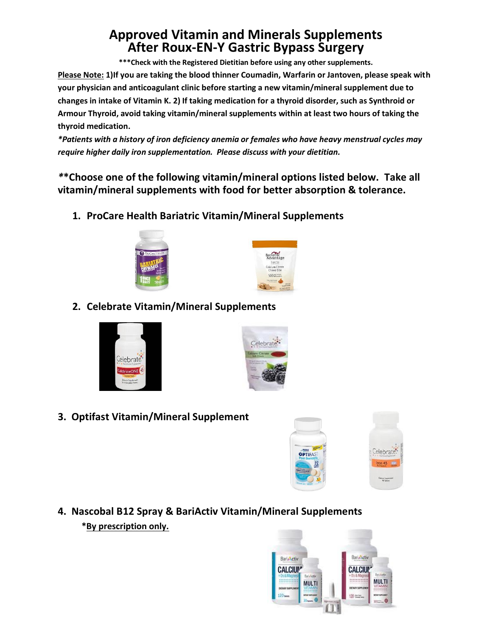## **Approved Vitamin and Minerals Supplements After Roux-EN-Y Gastric Bypass Surgery**

**\*\*\*Check with the Registered Dietitian before using any other supplements.**

**Please Note: 1)If you are taking the blood thinner Coumadin, Warfarin or Jantoven, please speak with your physician and anticoagulant clinic before starting a new vitamin/mineral supplement due to changes in intake of Vitamin K. 2) If taking medication for a thyroid disorder, such as Synthroid or Armour Thyroid, avoid taking vitamin/mineral supplements within at least two hours of taking the thyroid medication.**

*\*Patients with a history of iron deficiency anemia or females who have heavy menstrual cycles may require higher daily iron supplementation. Please discuss with your dietitian.*

*\****\*Choose one of the following vitamin/mineral options listed below. Take all vitamin/mineral supplements with food for better absorption & tolerance.**

**1. ProCare Health Bariatric Vitamin/Mineral Supplements**





**2. Celebrate Vitamin/Mineral Supplements**





**3. Optifast Vitamin/Mineral Supplement**





**4. Nascobal B12 Spray & BariActiv Vitamin/Mineral Supplements \*By prescription only.**

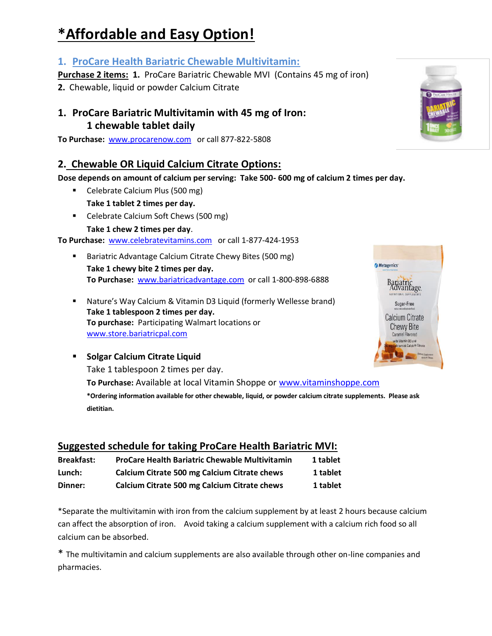# **\*Affordable and Easy Option!**

## **1. ProCare Health Bariatric Chewable Multivitamin:**

**Purchase 2 items: 1.** ProCare Bariatric Chewable MVI (Contains 45 mg of iron)

**2.** Chewable, liquid or powder Calcium Citrate

## **1. ProCare Bariatric Multivitamin with 45 mg of Iron: 1 chewable tablet daily**

**To Purchase:** [www.procarenow.com](http://www.procarenow.com/) or call 877-822-5808

## **2. Chewable OR Liquid Calcium Citrate Options:**

**Dose depends on amount of calcium per serving: Take 500- 600 mg of calcium 2 times per day.**

- Celebrate Calcium Plus (500 mg) **Take 1 tablet 2 times per day.**
- **Celebrate Calcium Soft Chews (500 mg) Take 1 chew 2 times per day**.

**To Purchase:** [www.celebratevitamins.com](http://www.celebratevitamins.com/) or call 1-877-424-1953

- Bariatric Advantage Calcium Citrate Chewy Bites (500 mg) **Take 1 chewy bite 2 times per day. To Purchase:** [www.bariatricadvantage.com](http://www.bariatricadvantage.com/) or call 1-800-898-6888
- Nature's Way Calcium & Vitamin D3 Liquid (formerly Wellesse brand) **Take 1 tablespoon 2 times per day. To purchase:** Participating Walmart locations or [www.store.bariatricpal.com](http://www.store.bariatricpal.com/)
- **Solgar Calcium Citrate Liquid** Take 1 tablespoon 2 times per day. **To Purchase:** Available at local Vitamin Shoppe or [www.vitaminshoppe.com](http://www.vitaminshoppe.com/) **\*Ordering information available for other chewable, liquid, or powder calcium citrate supplements. Please ask dietitian.**

## **Suggested schedule for taking ProCare Health Bariatric MVI:**

| <b>Breakfast:</b> | <b>ProCare Health Bariatric Chewable Multivitamin</b> | 1 tablet |
|-------------------|-------------------------------------------------------|----------|
| Lunch:            | Calcium Citrate 500 mg Calcium Citrate chews          | 1 tablet |
| Dinner:           | Calcium Citrate 500 mg Calcium Citrate chews          | 1 tablet |

\*Separate the multivitamin with iron from the calcium supplement by at least 2 hours because calcium can affect the absorption of iron. Avoid taking a calcium supplement with a calcium rich food so all calcium can be absorbed.

\* The multivitamin and calcium supplements are also available through other on-line companies and pharmacies.



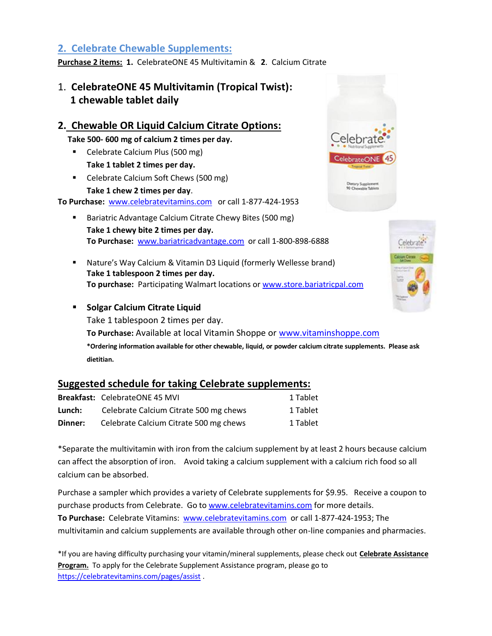## **2. Celebrate Chewable Supplements:**

**Purchase 2 items: 1.** CelebrateONE 45 Multivitamin & **2**. Calcium Citrate

## 1. **CelebrateONE 45 Multivitamin (Tropical Twist): 1 chewable tablet daily**

#### **2. Chewable OR Liquid Calcium Citrate Options:**

 **Take 500- 600 mg of calcium 2 times per day.**

- Celebrate Calcium Plus (500 mg) **Take 1 tablet 2 times per day.**
- Celebrate Calcium Soft Chews (500 mg) **Take 1 chew 2 times per day**.

**Lelebra** CelebrateON Dietary Supplement<br>90 Chewable Table



**To Purchase:** [www.celebratevitamins.com](http://www.celebratevitamins.com/) or call 1-877-424-1953

- Bariatric Advantage Calcium Citrate Chewy Bites (500 mg) **Take 1 chewy bite 2 times per day. To Purchase:** [www.bariatricadvantage.com](http://www.bariatricadvantage.com/) or call 1-800-898-6888
- Nature's Way Calcium & Vitamin D3 Liquid (formerly Wellesse brand) **Take 1 tablespoon 2 times per day. To purchase:** Participating Walmart locations or www.store.bariatricpal.com
- **Solgar Calcium Citrate Liquid** Take 1 tablespoon 2 times per day. **To Purchase:** Available at local Vitamin Shoppe or [www.vitaminshoppe.com](http://www.vitaminshoppe.com/) **\*Ordering information available for other chewable, liquid, or powder calcium citrate supplements. Please ask dietitian.**

#### **Suggested schedule for taking Celebrate supplements:**

|         | <b>Breakfast: CelebrateONE 45 MVI</b>  | 1 Tablet |
|---------|----------------------------------------|----------|
| Lunch:  | Celebrate Calcium Citrate 500 mg chews | 1 Tablet |
| Dinner: | Celebrate Calcium Citrate 500 mg chews | 1 Tablet |

\*Separate the multivitamin with iron from the calcium supplement by at least 2 hours because calcium can affect the absorption of iron. Avoid taking a calcium supplement with a calcium rich food so all calcium can be absorbed.

Purchase a sampler which provides a variety of Celebrate supplements for \$9.95. Receive a coupon to purchase products from Celebrate. Go to [www.celebratevitamins.com](http://www.celebratevitamins.com/) for more details. **To Purchase:** Celebrate Vitamins: [www.celebratevitamins.com](http://www.celebratevitamins.com/) or call 1-877-424-1953; The multivitamin and calcium supplements are available through other on-line companies and pharmacies.

\*If you are having difficulty purchasing your vitamin/mineral supplements, please check out **Celebrate Assistance Program.** To apply for the Celebrate Supplement Assistance program, please go to <https://celebratevitamins.com/pages/assist> .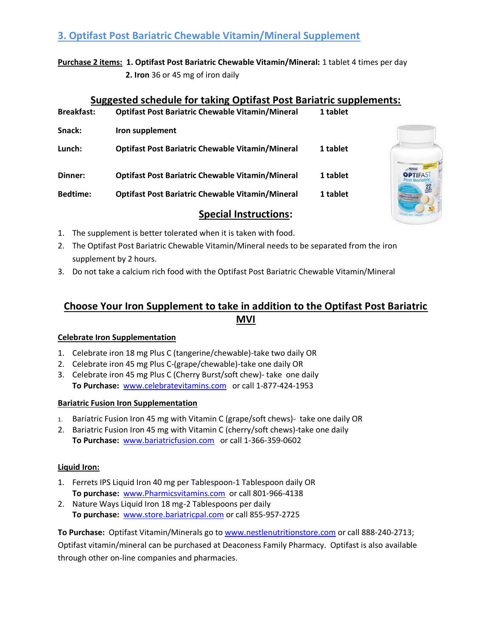## **3. Optifast Post Bariatric Chewable Vitamin/Mineral Supplement**

**Purchase 2 items: 1. Optifast Post Bariatric Chewable Vitamin/Mineral:** 1 tablet 4 times per day  **2. Iron** 36 or 45 mg of iron daily

#### **Suggested schedule for taking Optifast Post Bariatric supplements:**

| <b>Breakfast:</b> | <b>Optifast Post Bariatric Chewable Vitamin/Mineral</b> | 1 tablet |
|-------------------|---------------------------------------------------------|----------|
| Snack:            | Iron supplement                                         |          |
| Lunch:            | <b>Optifast Post Bariatric Chewable Vitamin/Mineral</b> | 1 tablet |
| Dinner:           | <b>Optifast Post Bariatric Chewable Vitamin/Mineral</b> | 1 tablet |
| <b>Bedtime:</b>   | <b>Optifast Post Bariatric Chewable Vitamin/Mineral</b> | 1 tablet |



## **Special Instructions:**

- 1. The supplement is better tolerated when it is taken with food.
- 2. The Optifast Post Bariatric Chewable Vitamin/Mineral needs to be separated from the iron supplement by 2 hours.
- 3. Do not take a calcium rich food with the Optifast Post Bariatric Chewable Vitamin/Mineral

## **Choose Your Iron Supplement to take in addition to the Optifast Post Bariatric MVI**

#### **Celebrate Iron Supplementation**

- 1. Celebrate iron 18 mg Plus C (tangerine/chewable)-take two daily OR
- 2. Celebrate iron 45 mg Plus C-(grape/chewable)-take one daily OR
- 3. Celebrate iron 45 mg Plus C (Cherry Burst/soft chew)- take one daily **To Purchase:** [www.celebratevitamins.com](http://www.celebratevitamins.com/) or call 1-877-424-1953

#### **Bariatric Fusion Iron Supplementation**

- 1. Bariatric Fusion Iron 45 mg with Vitamin C (grape/soft chews)- take one daily OR
- 2. Bariatric Fusion Iron 45 mg with Vitamin C (cherry/soft chews)-take one daily **To Purchase:** [www.bariatricfusion.com](http://www.bariatricfusion.com/) or call 1-366-359-0602

#### **Liquid Iron:**

- 1. Ferrets IPS Liquid Iron 40 mg per Tablespoon-1 Tablespoon daily OR **To purchase:** [www.Pharmicsvitamins.com](http://www.pharmicsvitamins.com/) or call 801-966-4138
- 2. Nature Ways Liquid Iron 18 mg-2 Tablespoons per daily **To purchase:** [www.store.bariatricpal.com](http://www.store.bariatricpal.com/) or call 855-957-2725

**To Purchase:** Optifast Vitamin/Minerals go to [www.nestlenutritionstore.com](http://www.nestlenutritionstore.com/) or call 888-240-2713; Optifast vitamin/mineral can be purchased at Deaconess Family Pharmacy. Optifast is also available through other on-line companies and pharmacies.